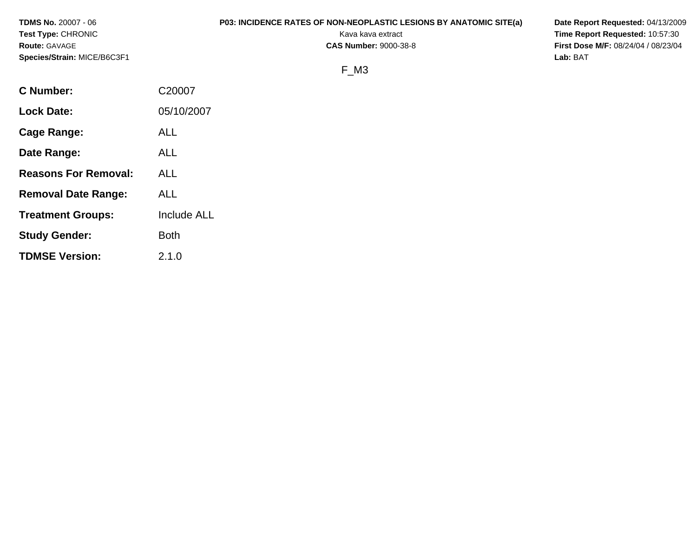| <b>TDMS No.</b> 20007 - 06  | <b>P03: INCIDENCE RATES OF NON-NEOPLASTIC LESIONS BY ANATOMIC SITE(a)</b> | Date Report Requested: 04/13/2009          |
|-----------------------------|---------------------------------------------------------------------------|--------------------------------------------|
| Test Type: CHRONIC          | Kava kava extract                                                         | <b>Time Report Requested: 10:57:30</b>     |
| <b>Route:</b> GAVAGE        | <b>CAS Number: 9000-38-8</b>                                              | <b>First Dose M/F: 08/24/04 / 08/23/04</b> |
| Species/Strain: MICE/B6C3F1 |                                                                           | Lab: BAT                                   |
|                             | F M <sub>3</sub>                                                          |                                            |

| <b>C</b> Number:            | C20007             |
|-----------------------------|--------------------|
| <b>Lock Date:</b>           | 05/10/2007         |
| Cage Range:                 | ALL                |
| Date Range:                 | <b>ALL</b>         |
| <b>Reasons For Removal:</b> | ALL                |
| <b>Removal Date Range:</b>  | ALL                |
| <b>Treatment Groups:</b>    | <b>Include ALL</b> |
| <b>Study Gender:</b>        | <b>Both</b>        |
| <b>TDMSE Version:</b>       | 2.1.0              |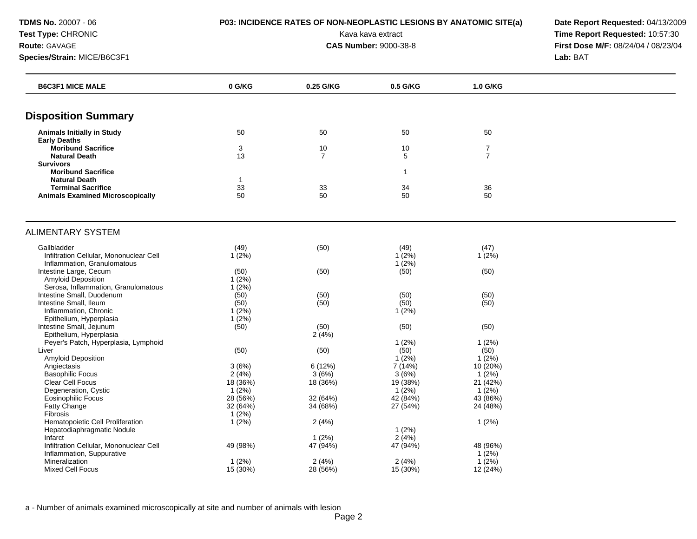**TDMS No.** 20007 - 06 **P03: INCIDENCE RATES OF NON-NEOPLASTIC LESIONS BY ANATOMIC SITE(a) Date Report Requested:** 04/13/2009

**Test Type:** CHRONIC **Transfer CHRONIC Report Requested:** 10:57:30 **Route:** GAVAGE **CAS Number:** 9000-38-8 **First Dose M/F:** 08/24/04 / 08/23/04 **Species/Strain:** MICE/B6C3F1 **Lab:** BAT

| <b>B6C3F1 MICE MALE</b>                 | 0 G/KG       | 0.25 G/KG            | 0.5 G/KG     | 1.0 G/KG                         |  |
|-----------------------------------------|--------------|----------------------|--------------|----------------------------------|--|
| <b>Disposition Summary</b>              |              |                      |              |                                  |  |
|                                         |              |                      |              |                                  |  |
| <b>Animals Initially in Study</b>       | 50           | 50                   | 50           | 50                               |  |
| <b>Early Deaths</b>                     |              |                      |              |                                  |  |
| <b>Moribund Sacrifice</b>               | 3<br>13      | 10<br>$\overline{7}$ | 10           | $\overline{7}$<br>$\overline{7}$ |  |
| <b>Natural Death</b>                    |              |                      | 5            |                                  |  |
| <b>Survivors</b>                        |              |                      |              |                                  |  |
| <b>Moribund Sacrifice</b>               |              |                      | $\mathbf{1}$ |                                  |  |
| <b>Natural Death</b>                    | $\mathbf{1}$ |                      |              |                                  |  |
| <b>Terminal Sacrifice</b>               | 33           | 33                   | 34           | 36                               |  |
| <b>Animals Examined Microscopically</b> | 50           | 50                   | 50           | 50                               |  |
| ALIMENTARY SYSTEM                       |              |                      |              |                                  |  |
| Gallbladder                             | (49)         | (50)                 | (49)         | (47)                             |  |
| Infiltration Cellular, Mononuclear Cell | $1(2\%)$     |                      | 1(2%)        | $1(2\%)$                         |  |
| Inflammation, Granulomatous             |              |                      | 1(2%)        |                                  |  |
| Intestine Large, Cecum                  | (50)         | (50)                 | (50)         | (50)                             |  |
| Amyloid Deposition                      | $1(2\%)$     |                      |              |                                  |  |
| Serosa, Inflammation, Granulomatous     | 1(2%)        |                      |              |                                  |  |
| Intestine Small, Duodenum               | (50)         | (50)                 | (50)         | (50)                             |  |
| Intestine Small, Ileum                  | (50)         | (50)                 | (50)         | (50)                             |  |
| Inflammation, Chronic                   | $1(2\%)$     |                      | 1(2%)        |                                  |  |
|                                         | 1(2%)        |                      |              |                                  |  |
| Epithelium, Hyperplasia                 |              |                      |              |                                  |  |
| Intestine Small, Jejunum                | (50)         | (50)                 | (50)         | (50)                             |  |
| Epithelium, Hyperplasia                 |              | 2(4%)                |              |                                  |  |
| Peyer's Patch, Hyperplasia, Lymphoid    |              |                      | 1(2%)        | 1(2%)                            |  |
| Liver                                   | (50)         | (50)                 | (50)         | (50)                             |  |
| Amyloid Deposition                      |              |                      | $1(2\%)$     | 1(2%)                            |  |
| Angiectasis                             | 3(6%)        | 6(12%)               | 7(14%)       | 10 (20%)                         |  |
| <b>Basophilic Focus</b>                 | 2(4%)        | 3(6%)                | 3(6%)        | $1(2\%)$                         |  |
| Clear Cell Focus                        | 18 (36%)     | 18 (36%)             | 19 (38%)     | 21(42%)                          |  |
| Degeneration, Cystic                    | $1(2\%)$     |                      | $1(2\%)$     | $1(2\%)$                         |  |
| Eosinophilic Focus                      | 28 (56%)     | 32 (64%)             | 42 (84%)     | 43 (86%)                         |  |
| Fatty Change                            | 32(64%)      | 34 (68%)             | 27 (54%)     | 24 (48%)                         |  |
| Fibrosis                                | 1(2%)        |                      |              |                                  |  |
| Hematopoietic Cell Proliferation        | 1(2%)        | 2(4%)                |              | 1(2%)                            |  |
| Hepatodiaphragmatic Nodule              |              |                      | 1(2%)        |                                  |  |
| Infarct                                 |              | 1(2%)                | 2(4%)        |                                  |  |
| Infiltration Cellular, Mononuclear Cell | 49 (98%)     | 47 (94%)             | 47 (94%)     | 48 (96%)                         |  |
| Inflammation, Suppurative               |              |                      |              | $1(2\%)$                         |  |
| Mineralization                          | 1(2%)        | 2(4%)                | 2(4%)        | $1(2\%)$                         |  |
| <b>Mixed Cell Focus</b>                 | 15 (30%)     | 28 (56%)             | 15 (30%)     | 12 (24%)                         |  |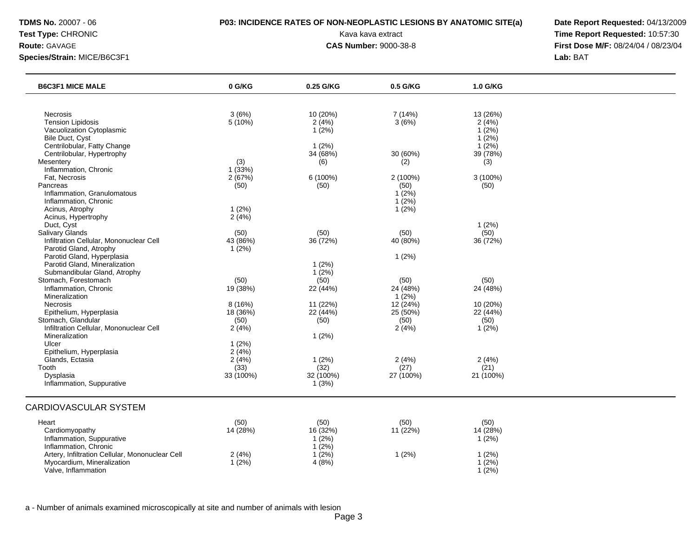## **TDMS No.** 20007 - 06 **P03: INCIDENCE RATES OF NON-NEOPLASTIC LESIONS BY ANATOMIC SITE(a) Date Report Requested:** 04/13/2009

**Test Type:** CHRONIC **Transfer CHRONIC Report Requested:** 10:57:30 **Route:** GAVAGE **CAS Number:** 9000-38-8 **First Dose M/F:** 08/24/04 / 08/23/04

| <b>B6C3F1 MICE MALE</b>                         | 0 G/KG    | 0.25 G/KG  | 0.5 G/KG  | 1.0 G/KG  |  |
|-------------------------------------------------|-----------|------------|-----------|-----------|--|
|                                                 |           |            |           |           |  |
| Necrosis                                        | 3(6%)     | 10 (20%)   | 7 (14%)   | 13 (26%)  |  |
| <b>Tension Lipidosis</b>                        | 5 (10%)   | 2(4%)      | 3(6%)     | 2(4%)     |  |
| Vacuolization Cytoplasmic                       |           | $1(2\%)$   |           | $1(2\%)$  |  |
| Bile Duct, Cyst                                 |           |            |           | $1(2\%)$  |  |
| Centrilobular, Fatty Change                     |           | 1(2%)      |           | $1(2\%)$  |  |
| Centrilobular, Hypertrophy                      |           | 34 (68%)   | 30 (60%)  | 39 (78%)  |  |
| Mesentery                                       | (3)       | (6)        | (2)       | (3)       |  |
| Inflammation, Chronic                           | 1(33%)    |            |           |           |  |
| Fat. Necrosis                                   | 2(67%)    | $6(100\%)$ | 2 (100%)  | 3 (100%)  |  |
| Pancreas                                        | (50)      | (50)       | (50)      | (50)      |  |
| Inflammation, Granulomatous                     |           |            | $1(2\%)$  |           |  |
| Inflammation, Chronic                           |           |            | $1(2\%)$  |           |  |
| Acinus, Atrophy                                 | 1(2%)     |            | 1(2%)     |           |  |
| Acinus, Hypertrophy                             | 2(4%)     |            |           |           |  |
| Duct, Cyst                                      |           |            |           | $1(2\%)$  |  |
| Salivary Glands                                 | (50)      | (50)       | (50)      | (50)      |  |
| Infiltration Cellular, Mononuclear Cell         | 43 (86%)  | 36 (72%)   | 40 (80%)  | 36 (72%)  |  |
| Parotid Gland, Atrophy                          | 1(2%)     |            |           |           |  |
| Parotid Gland, Hyperplasia                      |           |            | 1(2%)     |           |  |
| Parotid Gland, Mineralization                   |           | 1(2%)      |           |           |  |
| Submandibular Gland, Atrophy                    |           | $1(2\%)$   |           |           |  |
| Stomach, Forestomach                            | (50)      | (50)       | (50)      | (50)      |  |
| Inflammation, Chronic                           | 19 (38%)  | 22 (44%)   | 24 (48%)  | 24 (48%)  |  |
| Mineralization                                  |           |            | $1(2\%)$  |           |  |
| <b>Necrosis</b>                                 | 8 (16%)   | 11 (22%)   | 12(24%)   | 10 (20%)  |  |
| Epithelium, Hyperplasia                         | 18 (36%)  | 22 (44%)   | 25(50%)   | 22 (44%)  |  |
| Stomach, Glandular                              | (50)      | (50)       | (50)      | (50)      |  |
| Infiltration Cellular, Mononuclear Cell         | 2(4%)     |            | 2(4%)     | $1(2\%)$  |  |
| Mineralization                                  |           | 1(2%)      |           |           |  |
| Ulcer                                           | 1(2%)     |            |           |           |  |
| Epithelium, Hyperplasia                         | 2(4%)     |            |           |           |  |
| Glands, Ectasia                                 | 2(4%)     | 1(2%)      | 2(4%)     | 2(4%)     |  |
| Tooth                                           | (33)      | (32)       | (27)      | (21)      |  |
| Dysplasia                                       | 33 (100%) | 32 (100%)  | 27 (100%) | 21 (100%) |  |
| Inflammation, Suppurative                       |           | 1(3%)      |           |           |  |
| <b>CARDIOVASCULAR SYSTEM</b>                    |           |            |           |           |  |
| Heart                                           | (50)      | (50)       | (50)      | (50)      |  |
| Cardiomyopathy                                  | 14 (28%)  | 16 (32%)   | 11 (22%)  | 14 (28%)  |  |
| Inflammation, Suppurative                       |           | 1(2%)      |           | $1(2\%)$  |  |
| Inflammation, Chronic                           |           | $1(2\%)$   |           |           |  |
| Artery, Infiltration Cellular, Mononuclear Cell | 2(4%)     | $1(2\%)$   | 1(2%)     | $1(2\%)$  |  |
| Myocardium, Mineralization                      | 1(2%)     | 4(8%)      |           | $1(2\%)$  |  |
| Valve, Inflammation                             |           |            |           | $1(2\%)$  |  |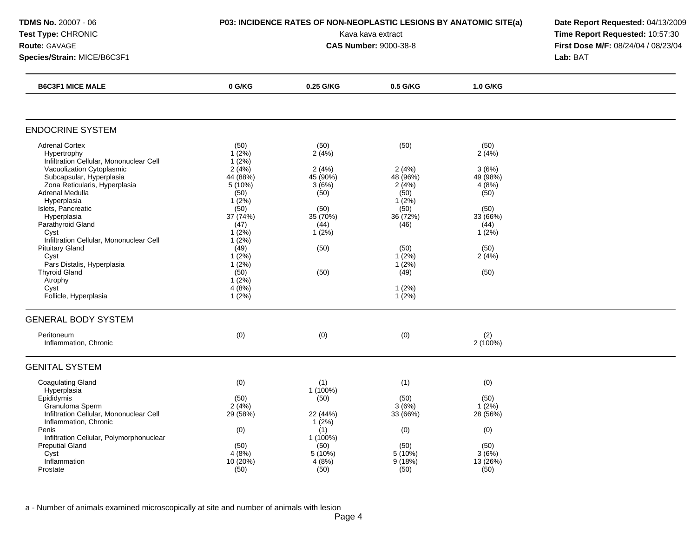| TDMS No. 20007 - 06<br>Test Type: CHRONIC<br>Route: GAVAGE                                                                                                                                                                                                                                                                                                                                                                                                   | P03: INCIDENCE RATES OF NON-NEOPLASTIC LESIONS BY ANATOMIC SITE(a)                                                                                                                                 | Date Report Requested: 04/13/2009<br>Time Report Requested: 10:57:30<br>First Dose M/F: 08/24/04 / 08/23/04 |                                                                                                                                              |                                                                                                                   |          |
|--------------------------------------------------------------------------------------------------------------------------------------------------------------------------------------------------------------------------------------------------------------------------------------------------------------------------------------------------------------------------------------------------------------------------------------------------------------|----------------------------------------------------------------------------------------------------------------------------------------------------------------------------------------------------|-------------------------------------------------------------------------------------------------------------|----------------------------------------------------------------------------------------------------------------------------------------------|-------------------------------------------------------------------------------------------------------------------|----------|
| Species/Strain: MICE/B6C3F1                                                                                                                                                                                                                                                                                                                                                                                                                                  |                                                                                                                                                                                                    |                                                                                                             |                                                                                                                                              |                                                                                                                   | Lab: BAT |
| <b>B6C3F1 MICE MALE</b>                                                                                                                                                                                                                                                                                                                                                                                                                                      | 0 G/KG                                                                                                                                                                                             | 0.25 G/KG                                                                                                   | 0.5 G/KG                                                                                                                                     | 1.0 G/KG                                                                                                          |          |
| <b>ENDOCRINE SYSTEM</b>                                                                                                                                                                                                                                                                                                                                                                                                                                      |                                                                                                                                                                                                    |                                                                                                             |                                                                                                                                              |                                                                                                                   |          |
| <b>Adrenal Cortex</b><br>Hypertrophy<br>Infiltration Cellular, Mononuclear Cell<br>Vacuolization Cytoplasmic<br>Subcapsular, Hyperplasia<br>Zona Reticularis, Hyperplasia<br>Adrenal Medulla<br>Hyperplasia<br>Islets, Pancreatic<br>Hyperplasia<br>Parathyroid Gland<br>Cyst<br>Infiltration Cellular, Mononuclear Cell<br><b>Pituitary Gland</b><br>Cyst<br>Pars Distalis, Hyperplasia<br><b>Thyroid Gland</b><br>Atrophy<br>Cyst<br>Follicle, Hyperplasia | (50)<br>$1(2\%)$<br>1(2%)<br>2(4%)<br>44 (88%)<br>5(10%)<br>(50)<br>$1(2\%)$<br>(50)<br>37(74%)<br>(47)<br>$1(2\%)$<br>1(2%)<br>(49)<br>$1(2\%)$<br>1(2%)<br>(50)<br>$1(2\%)$<br>4(8%)<br>$1(2\%)$ | (50)<br>2(4%)<br>2(4%)<br>45 (90%)<br>3(6%)<br>(50)<br>(50)<br>35(70%)<br>(44)<br>1(2%)<br>(50)<br>(50)     | (50)<br>2(4%)<br>48 (96%)<br>2(4%)<br>(50)<br>$1(2\%)$<br>(50)<br>36 (72%)<br>(46)<br>(50)<br>$1(2\%)$<br>1(2%)<br>(49)<br>1(2%)<br>$1(2\%)$ | (50)<br>2(4%)<br>3(6%)<br>49 (98%)<br>4(8%)<br>(50)<br>(50)<br>33 (66%)<br>(44)<br>1(2%)<br>(50)<br>2(4%)<br>(50) |          |
| <b>GENERAL BODY SYSTEM</b><br>Peritoneum<br>Inflammation, Chronic                                                                                                                                                                                                                                                                                                                                                                                            | (0)                                                                                                                                                                                                | (0)                                                                                                         | (0)                                                                                                                                          | (2)<br>2(100%)                                                                                                    |          |
| <b>GENITAL SYSTEM</b>                                                                                                                                                                                                                                                                                                                                                                                                                                        |                                                                                                                                                                                                    |                                                                                                             |                                                                                                                                              |                                                                                                                   |          |
| <b>Coagulating Gland</b><br>Hyperplasia<br>Epididymis<br>Granuloma Sperm<br>Infiltration Cellular, Mononuclear Cell<br>Inflammation, Chronic<br>Penis<br>Infiltration Cellular, Polymorphonuclear<br><b>Preputial Gland</b><br>Cyst<br>Inflammation<br>Prostate                                                                                                                                                                                              | (0)<br>(50)<br>$2(4\%)$<br>29 (58%)<br>(0)<br>(50)<br>4(8%)<br>10 (20%)<br>(50)                                                                                                                    | (1)<br>$1(100\%)$<br>(50)<br>22 (44%)<br>1(2%)<br>(1)<br>1 (100%)<br>(50)<br>5 (10%)<br>4(8%)<br>(50)       | (1)<br>(50)<br>3(6%)<br>33 (66%)<br>(0)<br>(50)<br>5 (10%)<br>9(18%)<br>(50)                                                                 | (0)<br>(50)<br>$1(2\%)$<br>28 (56%)<br>(0)<br>(50)<br>3(6%)<br>13 (26%)<br>(50)                                   |          |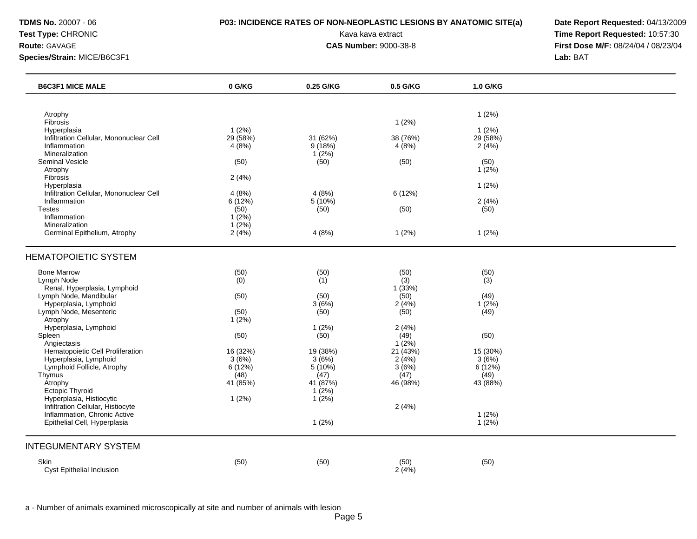## **TDMS No.** 20007 - 06 **P03: INCIDENCE RATES OF NON-NEOPLASTIC LESIONS BY ANATOMIC SITE(a) Date Report Requested:** 04/13/2009

**Test Type:** CHRONIC **Transfer CHRONIC Report Requested:** 10:57:30 **Route:** GAVAGE **CAS Number:** 9000-38-8 **First Dose M/F:** 08/24/04 / 08/23/04

| <b>B6C3F1 MICE MALE</b>                                      | 0 G/KG            | 0.25 G/KG            | 0.5 G/KG               | 1.0 G/KG             |  |
|--------------------------------------------------------------|-------------------|----------------------|------------------------|----------------------|--|
|                                                              |                   |                      |                        |                      |  |
| Atrophy<br>Fibrosis                                          |                   |                      | 1(2%)                  | 1(2%)                |  |
| Hyperplasia<br>Infiltration Cellular, Mononuclear Cell       | 1(2%)<br>29 (58%) | 31 (62%)             | 38 (76%)               | $1(2\%)$<br>29 (58%) |  |
| Inflammation                                                 | 4(8%)             | 9(18%)               | 4(8%)                  | 2(4%)                |  |
| Mineralization<br>Seminal Vesicle                            | (50)              | 1(2%)<br>(50)        | (50)                   | (50)                 |  |
| Atrophy                                                      |                   |                      |                        | 1(2%)                |  |
| Fibrosis<br>Hyperplasia                                      | 2(4%)             |                      |                        | 1(2%)                |  |
| Infiltration Cellular, Mononuclear Cell                      | 4(8%)             | 4(8%)                | 6 (12%)                |                      |  |
| Inflammation                                                 | 6(12%)            | 5 (10%)              |                        | 2(4%)                |  |
| <b>Testes</b><br>Inflammation                                | (50)<br>1(2%)     | (50)                 | (50)                   | (50)                 |  |
| Mineralization                                               | $1(2\%)$          |                      |                        |                      |  |
| Germinal Epithelium, Atrophy                                 | 2(4%)             | 4(8%)                | 1(2%)                  | 1(2%)                |  |
| <b>HEMATOPOIETIC SYSTEM</b>                                  |                   |                      |                        |                      |  |
| <b>Bone Marrow</b>                                           | (50)              | (50)                 | (50)                   | (50)                 |  |
| Lymph Node<br>Renal, Hyperplasia, Lymphoid                   | (0)               | (1)                  | $\hat{1}(3)$<br>1(33%) | (3)                  |  |
| Lymph Node, Mandibular                                       | (50)              | (50)                 | (50)                   | (49)                 |  |
| Hyperplasia, Lymphoid                                        |                   | 3(6%)                | 2(4%)                  | 1(2%)                |  |
| Lymph Node, Mesenteric<br>Atrophy                            | (50)<br>$1(2\%)$  | (50)                 | (50)                   | (49)                 |  |
| Hyperplasia, Lymphoid                                        |                   | $1(2\%)$             | 2(4%)                  |                      |  |
| Spleen<br>Angiectasis                                        | (50)              | (50)                 | (49)<br>$1(2\%)$       | (50)                 |  |
| Hematopoietic Cell Proliferation                             | 16 (32%)          | 19 (38%)             | 21 (43%)               | 15 (30%)             |  |
| Hyperplasia, Lymphoid<br>Lymphoid Follicle, Atrophy          | 3(6%)<br>6(12%)   | 3(6%)<br>5 (10%)     | 2(4%)<br>3(6%)         | 3(6%)<br>6(12%)      |  |
| Thymus                                                       | (48)              | (47)                 | (47)                   | (49)                 |  |
| Atrophy                                                      | 41 (85%)          | 41 (87%)             | 46 (98%)               | 43 (88%)             |  |
| Ectopic Thyroid<br>Hyperplasia, Histiocytic                  | 1(2%)             | $1(2\%)$<br>$1(2\%)$ |                        |                      |  |
| Infiltration Cellular, Histiocyte                            |                   |                      | 2(4%)                  |                      |  |
| Inflammation, Chronic Active<br>Epithelial Cell, Hyperplasia |                   | $1(2\%)$             |                        | 1(2%)<br>$1(2\%)$    |  |
| <b>INTEGUMENTARY SYSTEM</b>                                  |                   |                      |                        |                      |  |
| Skin                                                         | (50)              | (50)                 | (50)                   | (50)                 |  |
| <b>Cyst Epithelial Inclusion</b>                             |                   |                      | 2(4%)                  |                      |  |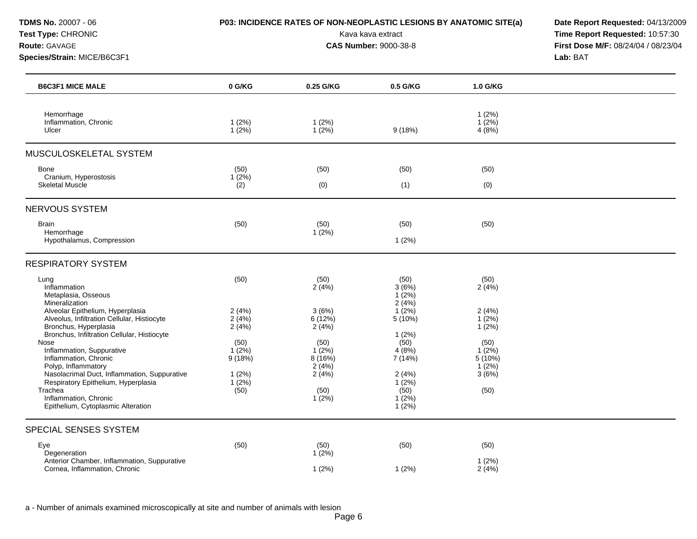## **TDMS No.** 20007 - 06 **P03: INCIDENCE RATES OF NON-NEOPLASTIC LESIONS BY ANATOMIC SITE(a) Date Report Requested:** 04/13/2009

**Test Type:** CHRONIC **Transfer CHRONIC Report Requested:** 10:57:30 **Route:** GAVAGE **CAS Number:** 9000-38-8 **First Dose M/F:** 08/24/04 / 08/23/04

| <b>B6C3F1 MICE MALE</b>                                                                                                                                                                                                                                                                                                                                                                                                                                                        | 0 G/KG                                                                                     | 0.25 G/KG                                                                                                  | 0.5 G/KG                                                                                                                                        | 1.0 G/KG                                                                                            |  |
|--------------------------------------------------------------------------------------------------------------------------------------------------------------------------------------------------------------------------------------------------------------------------------------------------------------------------------------------------------------------------------------------------------------------------------------------------------------------------------|--------------------------------------------------------------------------------------------|------------------------------------------------------------------------------------------------------------|-------------------------------------------------------------------------------------------------------------------------------------------------|-----------------------------------------------------------------------------------------------------|--|
| Hemorrhage<br>Inflammation, Chronic<br>Ulcer                                                                                                                                                                                                                                                                                                                                                                                                                                   | 1(2%)<br>1(2%)                                                                             | 1(2%)<br>1(2%)                                                                                             | 9(18%)                                                                                                                                          | 1(2%)<br>$1(2\%)$<br>4(8%)                                                                          |  |
| MUSCULOSKELETAL SYSTEM                                                                                                                                                                                                                                                                                                                                                                                                                                                         |                                                                                            |                                                                                                            |                                                                                                                                                 |                                                                                                     |  |
| <b>Bone</b><br>Cranium, Hyperostosis<br>Skeletal Muscle                                                                                                                                                                                                                                                                                                                                                                                                                        | (50)<br>$1(2\%)$<br>(2)                                                                    | (50)<br>(0)                                                                                                | (50)<br>(1)                                                                                                                                     | (50)<br>(0)                                                                                         |  |
| <b>NERVOUS SYSTEM</b>                                                                                                                                                                                                                                                                                                                                                                                                                                                          |                                                                                            |                                                                                                            |                                                                                                                                                 |                                                                                                     |  |
| <b>Brain</b><br>Hemorrhage<br>Hypothalamus, Compression                                                                                                                                                                                                                                                                                                                                                                                                                        | (50)                                                                                       | (50)<br>$1(2\%)$                                                                                           | (50)<br>1(2%)                                                                                                                                   | (50)                                                                                                |  |
| <b>RESPIRATORY SYSTEM</b>                                                                                                                                                                                                                                                                                                                                                                                                                                                      |                                                                                            |                                                                                                            |                                                                                                                                                 |                                                                                                     |  |
| Lung<br>Inflammation<br>Metaplasia, Osseous<br>Mineralization<br>Alveolar Epithelium, Hyperplasia<br>Alveolus, Infiltration Cellular, Histiocyte<br>Bronchus, Hyperplasia<br>Bronchus, Infiltration Cellular, Histiocyte<br>Nose<br>Inflammation, Suppurative<br>Inflammation, Chronic<br>Polyp, Inflammatory<br>Nasolacrimal Duct, Inflammation, Suppurative<br>Respiratory Epithelium, Hyperplasia<br>Trachea<br>Inflammation, Chronic<br>Epithelium, Cytoplasmic Alteration | (50)<br>2(4%)<br>2(4%)<br>2(4%)<br>(50)<br>$1(2\%)$<br>9(18%)<br>1(2%)<br>$1(2\%)$<br>(50) | (50)<br>2(4%)<br>3(6%)<br>6(12%)<br>2(4%)<br>(50)<br>$1(2\%)$<br>8(16%)<br>2(4%)<br>2(4%)<br>(50)<br>1(2%) | (50)<br>3(6%)<br>$1(2\%)$<br>2(4%)<br>$1(2\%)$<br>5(10%)<br>1(2%)<br>(50)<br>4(8%)<br>7 (14%)<br>2(4%)<br>1(2%)<br>(50)<br>$1(2\%)$<br>$1(2\%)$ | (50)<br>2(4%)<br>2(4%)<br>1(2%)<br>1(2%)<br>(50)<br>$1(2\%)$<br>$5(10\%)$<br>1(2%)<br>3(6%)<br>(50) |  |
| SPECIAL SENSES SYSTEM                                                                                                                                                                                                                                                                                                                                                                                                                                                          |                                                                                            |                                                                                                            |                                                                                                                                                 |                                                                                                     |  |
| Eye<br>Degeneration<br>Anterior Chamber, Inflammation, Suppurative<br>Cornea, Inflammation, Chronic                                                                                                                                                                                                                                                                                                                                                                            | (50)                                                                                       | (50)<br>$1(2\%)$<br>1(2%)                                                                                  | (50)<br>1(2%)                                                                                                                                   | (50)<br>1(2%)<br>2(4%)                                                                              |  |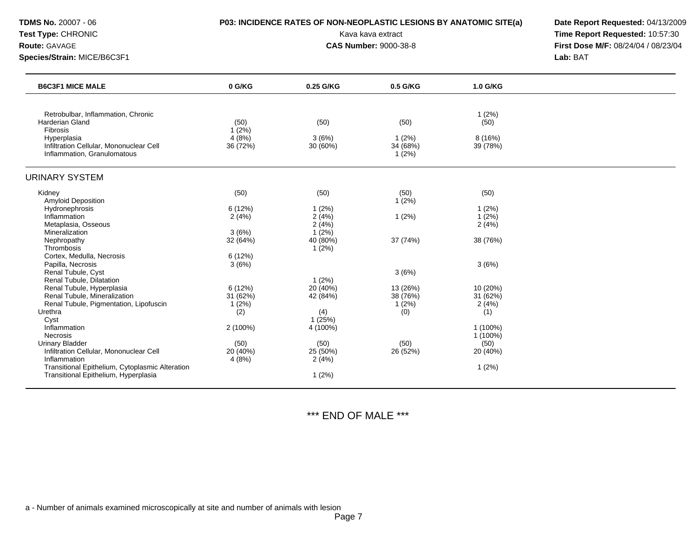| <b>TDMS No. 20007 - 06</b><br><b>Test Type: CHRONIC</b><br>Route: GAVAGE<br>Species/Strain: MICE/B6C3F1 | P03: INCIDENCE RATES OF NON-NEOPLASTIC LESIONS BY ANATOMIC SITE(a) | Date Report Requested: 04/13/2009<br>Time Report Requested: 10:57:30<br>First Dose M/F: 08/24/04 / 08/23/04<br>Lab: BAT |                            |                     |  |
|---------------------------------------------------------------------------------------------------------|--------------------------------------------------------------------|-------------------------------------------------------------------------------------------------------------------------|----------------------------|---------------------|--|
| <b>B6C3F1 MICE MALE</b>                                                                                 | 0 G/KG                                                             | 0.25 G/KG                                                                                                               | 0.5 G/KG                   | 1.0 G/KG            |  |
| Retrobulbar, Inflammation, Chronic<br>Harderian Gland<br>Fibrosis                                       | (50)<br>1(2%)                                                      | (50)                                                                                                                    | (50)                       | 1(2%)<br>(50)       |  |
| Hyperplasia<br>Infiltration Cellular, Mononuclear Cell<br>Inflammation, Granulomatous                   | 4(8%)<br>36 (72%)                                                  | 3(6%)<br>30 (60%)                                                                                                       | 1(2%)<br>34 (68%)<br>1(2%) | 8 (16%)<br>39 (78%) |  |
| <b>URINARY SYSTEM</b>                                                                                   |                                                                    |                                                                                                                         |                            |                     |  |
| Kidney                                                                                                  | (50)                                                               | (50)                                                                                                                    | (50)                       | (50)                |  |
| <b>Amyloid Deposition</b>                                                                               |                                                                    |                                                                                                                         | 1(2%)                      |                     |  |
| Hydronephrosis                                                                                          | 6(12%)                                                             | 1(2%)                                                                                                                   |                            | 1(2%)               |  |
| Inflammation                                                                                            | 2(4%)                                                              | 2(4%)                                                                                                                   | 1(2%)                      | 1(2%)               |  |
| Metaplasia, Osseous<br>Mineralization                                                                   | 3(6%)                                                              | 2(4%)<br>$1(2\%)$                                                                                                       |                            | 2(4%)               |  |
| Nephropathy                                                                                             | 32 (64%)                                                           | 40 (80%)                                                                                                                | 37 (74%)                   | 38 (76%)            |  |
| Thrombosis                                                                                              |                                                                    | 1(2%)                                                                                                                   |                            |                     |  |
| Cortex, Medulla, Necrosis                                                                               | 6(12%)                                                             |                                                                                                                         |                            |                     |  |
| Papilla, Necrosis                                                                                       | 3(6%)                                                              |                                                                                                                         |                            | 3(6%)               |  |
| Renal Tubule, Cyst                                                                                      |                                                                    |                                                                                                                         | 3(6%)                      |                     |  |
| Renal Tubule, Dilatation                                                                                |                                                                    | $1(2\%)$                                                                                                                |                            |                     |  |
| Renal Tubule, Hyperplasia                                                                               | 6 (12%)                                                            | 20 (40%)                                                                                                                | 13 (26%)                   | 10 (20%)            |  |
| Renal Tubule, Mineralization                                                                            | 31 (62%)                                                           | 42 (84%)                                                                                                                | 38 (76%)                   | 31 (62%)            |  |
| Renal Tubule, Pigmentation, Lipofuscin                                                                  | 1(2%)                                                              |                                                                                                                         | 1(2%)                      | 2(4%)               |  |
| Urethra                                                                                                 | (2)                                                                | (4)                                                                                                                     | (0)                        | (1)                 |  |
| Cyst<br>Inflammation                                                                                    | 2(100%)                                                            | 1(25%)<br>4 (100%)                                                                                                      |                            | 1 (100%)            |  |
| Necrosis                                                                                                |                                                                    |                                                                                                                         |                            | 1 (100%)            |  |
| <b>Urinary Bladder</b>                                                                                  | (50)                                                               | (50)                                                                                                                    | (50)                       | (50)                |  |
| Infiltration Cellular, Mononuclear Cell                                                                 | 20 (40%)                                                           | 25 (50%)                                                                                                                | 26 (52%)                   | 20 (40%)            |  |
| Inflammation                                                                                            | 4(8%)                                                              | 2(4%)                                                                                                                   |                            |                     |  |

# \*\*\* END OF MALE \*\*\*

Transitional Epithelium, Cytoplasmic Alteration 1 (2%)<br>
Transitional Epithelium, Hyperplasia 1 (2%)<br>
1 (2%)<br>
1 (2%)

Transitional Epithelium, Hyperplasia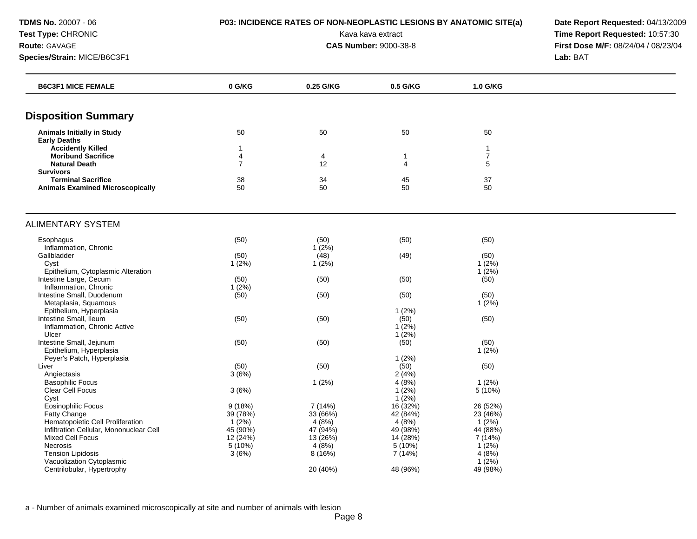**TDMS No.** 20007 - 06 **P03: INCIDENCE RATES OF NON-NEOPLASTIC LESIONS BY ANATOMIC SITE(a) Date Report Requested:** 04/13/2009

**Test Type:** CHRONIC **Transfer CHRONIC Report Requested:** 10:57:30 **Route:** GAVAGE **CAS Number:** 9000-38-8 **First Dose M/F:** 08/24/04 / 08/23/04 **Species/Strain:** MICE/B6C3F1 **Lab:** BAT

| <b>B6C3F1 MICE FEMALE</b>               | 0 G/KG         | 0.25 G/KG | 0.5 G/KG       | 1.0 G/KG       |  |
|-----------------------------------------|----------------|-----------|----------------|----------------|--|
| <b>Disposition Summary</b>              |                |           |                |                |  |
| <b>Animals Initially in Study</b>       | 50             | 50        | 50             | 50             |  |
| <b>Early Deaths</b>                     |                |           |                |                |  |
| <b>Accidently Killed</b>                | $\mathbf{1}$   |           |                | $\mathbf{1}$   |  |
| <b>Moribund Sacrifice</b>               | $\overline{4}$ | 4         | 1              | $\overline{7}$ |  |
| <b>Natural Death</b>                    | $\overline{7}$ | 12        | $\overline{4}$ | 5              |  |
| <b>Survivors</b>                        |                |           |                |                |  |
| <b>Terminal Sacrifice</b>               | 38             | 34        | 45             | 37             |  |
| <b>Animals Examined Microscopically</b> | 50             | 50        | 50             | 50             |  |
| <b>ALIMENTARY SYSTEM</b>                |                |           |                |                |  |
| Esophagus                               | (50)           | (50)      | (50)           | (50)           |  |
| Inflammation, Chronic                   |                | $1(2\%)$  |                |                |  |
| Gallbladder                             | (50)           | (48)      | (49)           | (50)           |  |
| Cyst                                    | $1(2\%)$       | $1(2\%)$  |                | 1(2%)          |  |
| Epithelium, Cytoplasmic Alteration      |                |           |                | $1(2\%)$       |  |
| Intestine Large, Cecum                  | (50)           | (50)      | (50)           | (50)           |  |
| Inflammation, Chronic                   | $1(2\%)$       |           |                |                |  |
| Intestine Small, Duodenum               | (50)           | (50)      | (50)           | (50)           |  |
| Metaplasia, Squamous                    |                |           |                | $1(2\%)$       |  |
| Epithelium, Hyperplasia                 |                |           | 1(2%)          |                |  |
| Intestine Small, Ileum                  | (50)           | (50)      | (50)           | (50)           |  |
| Inflammation, Chronic Active            |                |           | 1(2%)          |                |  |
| Ulcer                                   |                |           | 1(2%)          |                |  |
| Intestine Small, Jejunum                | (50)           | (50)      | (50)           | (50)           |  |
| Epithelium, Hyperplasia                 |                |           |                | $1(2\%)$       |  |
| Peyer's Patch, Hyperplasia              |                |           | 1(2%)          |                |  |
| Liver                                   | (50)           | (50)      | (50)           | (50)           |  |
| Angiectasis                             | 3(6%)          |           | 2(4%)          |                |  |
| <b>Basophilic Focus</b>                 |                | 1(2%)     | 4(8%)          | $1(2\%)$       |  |
| Clear Cell Focus                        | 3(6%)          |           | 1(2%)          | 5(10%)         |  |
| Cyst                                    |                |           | 1(2%)          |                |  |
| Eosinophilic Focus                      | 9(18%)         | 7 (14%)   | 16 (32%)       | 26 (52%)       |  |
| Fatty Change                            | 39 (78%)       | 33 (66%)  | 42 (84%)       | 23 (46%)       |  |
| Hematopoietic Cell Proliferation        | 1(2%)          | 4(8%)     | 4(8%)          | $1(2\%)$       |  |
| Infiltration Cellular, Mononuclear Cell | 45 (90%)       | 47 (94%)  | 49 (98%)       | 44 (88%)       |  |
| Mixed Cell Focus                        | 12(24%)        | 13(26%)   | 14 (28%)       | 7 (14%)        |  |
| Necrosis                                | 5 (10%)        | 4(8%)     | 5 (10%)        | $1(2\%)$       |  |
| <b>Tension Lipidosis</b>                | 3(6%)          | 8(16%)    | 7 (14%)        | 4(8%)          |  |
| Vacuolization Cytoplasmic               |                |           |                | $1(2\%)$       |  |
| Centrilobular, Hypertrophy              |                | 20 (40%)  | 48 (96%)       | 49 (98%)       |  |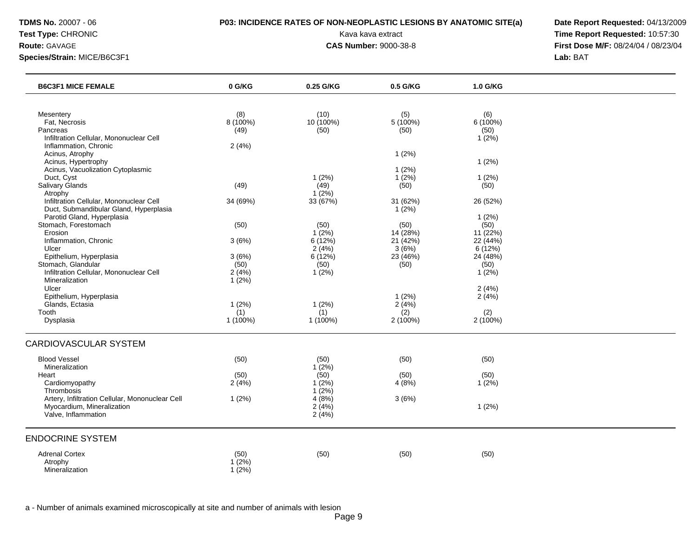## **TDMS No.** 20007 - 06 **P03: INCIDENCE RATES OF NON-NEOPLASTIC LESIONS BY ANATOMIC SITE(a) Date Report Requested:** 04/13/2009

**Test Type:** CHRONIC **Transfer CHRONIC Report Requested:** 10:57:30 **Route:** GAVAGE **CAS Number:** 9000-38-8 **First Dose M/F:** 08/24/04 / 08/23/04

| (8)<br>(10)<br>Mesentery<br>(5)<br>(6)<br>8 (100%)<br>10 (100%)<br>5(100%)<br>$6(100\%)$<br>Fat, Necrosis<br>Pancreas<br>(50)<br>(50)<br>(50)<br>(49)<br>Infiltration Cellular, Mononuclear Cell<br>1(2%)<br>Inflammation, Chronic<br>2(4%)<br>Acinus, Atrophy<br>1(2%)<br>Acinus, Hypertrophy<br>1(2%)<br>Acinus, Vacuolization Cytoplasmic<br>1(2%)<br>Duct, Cyst<br>1(2%)<br>$1(2\%)$<br>1(2%)<br>Salivary Glands<br>(49)<br>(49)<br>(50)<br>(50)<br>1(2%)<br>Atrophy<br>Infiltration Cellular, Mononuclear Cell<br>33 (67%)<br>34 (69%)<br>31 (62%)<br>26 (52%)<br>Duct, Submandibular Gland, Hyperplasia<br>1(2%)<br>Parotid Gland, Hyperplasia<br>1(2%)<br>Stomach, Forestomach<br>(50)<br>(50)<br>(50)<br>(50)<br>Erosion<br>$1(2\%)$<br>14(28%)<br>11(22%)<br>Inflammation, Chronic<br>6(12%)<br>21(42%)<br>3(6%)<br>22 (44%)<br>2(4%)<br>3(6%)<br>Ulcer<br>6 (12%)<br>Epithelium, Hyperplasia<br>6(12%)<br>23 (46%)<br>24 (48%)<br>3(6%)<br>Stomach, Glandular<br>(50)<br>(50)<br>(50)<br>(50)<br>Infiltration Cellular, Mononuclear Cell<br>2(4%)<br>1(2%)<br>1(2%)<br>$1(2\%)$<br>Mineralization<br>Ulcer<br>2(4%)<br>Epithelium, Hyperplasia<br>1(2%)<br>2(4%)<br>Glands, Ectasia<br>1(2%)<br>1(2%)<br>2(4%)<br>(1)<br>(1)<br>(2)<br>(2)<br>Tooth<br>$1(100\%)$<br>1 (100%)<br>2 (100%)<br>2 (100%)<br>Dysplasia<br><b>Blood Vessel</b><br>(50)<br>(50)<br>(50)<br>(50)<br>Mineralization<br>1(2%)<br>(50)<br>(50)<br>(50)<br>(50)<br>Heart<br>Cardiomyopathy<br>1(2%)<br>4(8%)<br>1(2%)<br>2(4%)<br>1(2%)<br>Thrombosis<br>Artery, Infiltration Cellular, Mononuclear Cell<br>4(8%)<br>1(2%)<br>3(6%)<br>Myocardium, Mineralization<br>2(4%)<br>1(2%)<br>Valve, Inflammation<br>2(4%)<br><b>Adrenal Cortex</b><br>(50)<br>(50)<br>(50)<br>(50)<br>$1(2\%)$<br>Atrophy<br>Mineralization | <b>B6C3F1 MICE FEMALE</b>    | 0 G/KG | 0.25 G/KG | 0.5 G/KG | 1.0 G/KG |  |
|------------------------------------------------------------------------------------------------------------------------------------------------------------------------------------------------------------------------------------------------------------------------------------------------------------------------------------------------------------------------------------------------------------------------------------------------------------------------------------------------------------------------------------------------------------------------------------------------------------------------------------------------------------------------------------------------------------------------------------------------------------------------------------------------------------------------------------------------------------------------------------------------------------------------------------------------------------------------------------------------------------------------------------------------------------------------------------------------------------------------------------------------------------------------------------------------------------------------------------------------------------------------------------------------------------------------------------------------------------------------------------------------------------------------------------------------------------------------------------------------------------------------------------------------------------------------------------------------------------------------------------------------------------------------------------------------------------------------------------------------------------------------------------------------------|------------------------------|--------|-----------|----------|----------|--|
|                                                                                                                                                                                                                                                                                                                                                                                                                                                                                                                                                                                                                                                                                                                                                                                                                                                                                                                                                                                                                                                                                                                                                                                                                                                                                                                                                                                                                                                                                                                                                                                                                                                                                                                                                                                                      |                              |        |           |          |          |  |
|                                                                                                                                                                                                                                                                                                                                                                                                                                                                                                                                                                                                                                                                                                                                                                                                                                                                                                                                                                                                                                                                                                                                                                                                                                                                                                                                                                                                                                                                                                                                                                                                                                                                                                                                                                                                      |                              |        |           |          |          |  |
|                                                                                                                                                                                                                                                                                                                                                                                                                                                                                                                                                                                                                                                                                                                                                                                                                                                                                                                                                                                                                                                                                                                                                                                                                                                                                                                                                                                                                                                                                                                                                                                                                                                                                                                                                                                                      |                              |        |           |          |          |  |
|                                                                                                                                                                                                                                                                                                                                                                                                                                                                                                                                                                                                                                                                                                                                                                                                                                                                                                                                                                                                                                                                                                                                                                                                                                                                                                                                                                                                                                                                                                                                                                                                                                                                                                                                                                                                      |                              |        |           |          |          |  |
|                                                                                                                                                                                                                                                                                                                                                                                                                                                                                                                                                                                                                                                                                                                                                                                                                                                                                                                                                                                                                                                                                                                                                                                                                                                                                                                                                                                                                                                                                                                                                                                                                                                                                                                                                                                                      |                              |        |           |          |          |  |
|                                                                                                                                                                                                                                                                                                                                                                                                                                                                                                                                                                                                                                                                                                                                                                                                                                                                                                                                                                                                                                                                                                                                                                                                                                                                                                                                                                                                                                                                                                                                                                                                                                                                                                                                                                                                      |                              |        |           |          |          |  |
|                                                                                                                                                                                                                                                                                                                                                                                                                                                                                                                                                                                                                                                                                                                                                                                                                                                                                                                                                                                                                                                                                                                                                                                                                                                                                                                                                                                                                                                                                                                                                                                                                                                                                                                                                                                                      |                              |        |           |          |          |  |
|                                                                                                                                                                                                                                                                                                                                                                                                                                                                                                                                                                                                                                                                                                                                                                                                                                                                                                                                                                                                                                                                                                                                                                                                                                                                                                                                                                                                                                                                                                                                                                                                                                                                                                                                                                                                      |                              |        |           |          |          |  |
|                                                                                                                                                                                                                                                                                                                                                                                                                                                                                                                                                                                                                                                                                                                                                                                                                                                                                                                                                                                                                                                                                                                                                                                                                                                                                                                                                                                                                                                                                                                                                                                                                                                                                                                                                                                                      |                              |        |           |          |          |  |
|                                                                                                                                                                                                                                                                                                                                                                                                                                                                                                                                                                                                                                                                                                                                                                                                                                                                                                                                                                                                                                                                                                                                                                                                                                                                                                                                                                                                                                                                                                                                                                                                                                                                                                                                                                                                      |                              |        |           |          |          |  |
|                                                                                                                                                                                                                                                                                                                                                                                                                                                                                                                                                                                                                                                                                                                                                                                                                                                                                                                                                                                                                                                                                                                                                                                                                                                                                                                                                                                                                                                                                                                                                                                                                                                                                                                                                                                                      |                              |        |           |          |          |  |
|                                                                                                                                                                                                                                                                                                                                                                                                                                                                                                                                                                                                                                                                                                                                                                                                                                                                                                                                                                                                                                                                                                                                                                                                                                                                                                                                                                                                                                                                                                                                                                                                                                                                                                                                                                                                      |                              |        |           |          |          |  |
|                                                                                                                                                                                                                                                                                                                                                                                                                                                                                                                                                                                                                                                                                                                                                                                                                                                                                                                                                                                                                                                                                                                                                                                                                                                                                                                                                                                                                                                                                                                                                                                                                                                                                                                                                                                                      |                              |        |           |          |          |  |
|                                                                                                                                                                                                                                                                                                                                                                                                                                                                                                                                                                                                                                                                                                                                                                                                                                                                                                                                                                                                                                                                                                                                                                                                                                                                                                                                                                                                                                                                                                                                                                                                                                                                                                                                                                                                      |                              |        |           |          |          |  |
|                                                                                                                                                                                                                                                                                                                                                                                                                                                                                                                                                                                                                                                                                                                                                                                                                                                                                                                                                                                                                                                                                                                                                                                                                                                                                                                                                                                                                                                                                                                                                                                                                                                                                                                                                                                                      |                              |        |           |          |          |  |
|                                                                                                                                                                                                                                                                                                                                                                                                                                                                                                                                                                                                                                                                                                                                                                                                                                                                                                                                                                                                                                                                                                                                                                                                                                                                                                                                                                                                                                                                                                                                                                                                                                                                                                                                                                                                      |                              |        |           |          |          |  |
|                                                                                                                                                                                                                                                                                                                                                                                                                                                                                                                                                                                                                                                                                                                                                                                                                                                                                                                                                                                                                                                                                                                                                                                                                                                                                                                                                                                                                                                                                                                                                                                                                                                                                                                                                                                                      |                              |        |           |          |          |  |
|                                                                                                                                                                                                                                                                                                                                                                                                                                                                                                                                                                                                                                                                                                                                                                                                                                                                                                                                                                                                                                                                                                                                                                                                                                                                                                                                                                                                                                                                                                                                                                                                                                                                                                                                                                                                      |                              |        |           |          |          |  |
|                                                                                                                                                                                                                                                                                                                                                                                                                                                                                                                                                                                                                                                                                                                                                                                                                                                                                                                                                                                                                                                                                                                                                                                                                                                                                                                                                                                                                                                                                                                                                                                                                                                                                                                                                                                                      |                              |        |           |          |          |  |
|                                                                                                                                                                                                                                                                                                                                                                                                                                                                                                                                                                                                                                                                                                                                                                                                                                                                                                                                                                                                                                                                                                                                                                                                                                                                                                                                                                                                                                                                                                                                                                                                                                                                                                                                                                                                      |                              |        |           |          |          |  |
|                                                                                                                                                                                                                                                                                                                                                                                                                                                                                                                                                                                                                                                                                                                                                                                                                                                                                                                                                                                                                                                                                                                                                                                                                                                                                                                                                                                                                                                                                                                                                                                                                                                                                                                                                                                                      |                              |        |           |          |          |  |
|                                                                                                                                                                                                                                                                                                                                                                                                                                                                                                                                                                                                                                                                                                                                                                                                                                                                                                                                                                                                                                                                                                                                                                                                                                                                                                                                                                                                                                                                                                                                                                                                                                                                                                                                                                                                      |                              |        |           |          |          |  |
|                                                                                                                                                                                                                                                                                                                                                                                                                                                                                                                                                                                                                                                                                                                                                                                                                                                                                                                                                                                                                                                                                                                                                                                                                                                                                                                                                                                                                                                                                                                                                                                                                                                                                                                                                                                                      |                              |        |           |          |          |  |
|                                                                                                                                                                                                                                                                                                                                                                                                                                                                                                                                                                                                                                                                                                                                                                                                                                                                                                                                                                                                                                                                                                                                                                                                                                                                                                                                                                                                                                                                                                                                                                                                                                                                                                                                                                                                      |                              |        |           |          |          |  |
|                                                                                                                                                                                                                                                                                                                                                                                                                                                                                                                                                                                                                                                                                                                                                                                                                                                                                                                                                                                                                                                                                                                                                                                                                                                                                                                                                                                                                                                                                                                                                                                                                                                                                                                                                                                                      |                              |        |           |          |          |  |
|                                                                                                                                                                                                                                                                                                                                                                                                                                                                                                                                                                                                                                                                                                                                                                                                                                                                                                                                                                                                                                                                                                                                                                                                                                                                                                                                                                                                                                                                                                                                                                                                                                                                                                                                                                                                      |                              |        |           |          |          |  |
|                                                                                                                                                                                                                                                                                                                                                                                                                                                                                                                                                                                                                                                                                                                                                                                                                                                                                                                                                                                                                                                                                                                                                                                                                                                                                                                                                                                                                                                                                                                                                                                                                                                                                                                                                                                                      |                              |        |           |          |          |  |
|                                                                                                                                                                                                                                                                                                                                                                                                                                                                                                                                                                                                                                                                                                                                                                                                                                                                                                                                                                                                                                                                                                                                                                                                                                                                                                                                                                                                                                                                                                                                                                                                                                                                                                                                                                                                      |                              |        |           |          |          |  |
|                                                                                                                                                                                                                                                                                                                                                                                                                                                                                                                                                                                                                                                                                                                                                                                                                                                                                                                                                                                                                                                                                                                                                                                                                                                                                                                                                                                                                                                                                                                                                                                                                                                                                                                                                                                                      | <b>CARDIOVASCULAR SYSTEM</b> |        |           |          |          |  |
|                                                                                                                                                                                                                                                                                                                                                                                                                                                                                                                                                                                                                                                                                                                                                                                                                                                                                                                                                                                                                                                                                                                                                                                                                                                                                                                                                                                                                                                                                                                                                                                                                                                                                                                                                                                                      |                              |        |           |          |          |  |
|                                                                                                                                                                                                                                                                                                                                                                                                                                                                                                                                                                                                                                                                                                                                                                                                                                                                                                                                                                                                                                                                                                                                                                                                                                                                                                                                                                                                                                                                                                                                                                                                                                                                                                                                                                                                      |                              |        |           |          |          |  |
|                                                                                                                                                                                                                                                                                                                                                                                                                                                                                                                                                                                                                                                                                                                                                                                                                                                                                                                                                                                                                                                                                                                                                                                                                                                                                                                                                                                                                                                                                                                                                                                                                                                                                                                                                                                                      |                              |        |           |          |          |  |
|                                                                                                                                                                                                                                                                                                                                                                                                                                                                                                                                                                                                                                                                                                                                                                                                                                                                                                                                                                                                                                                                                                                                                                                                                                                                                                                                                                                                                                                                                                                                                                                                                                                                                                                                                                                                      |                              |        |           |          |          |  |
|                                                                                                                                                                                                                                                                                                                                                                                                                                                                                                                                                                                                                                                                                                                                                                                                                                                                                                                                                                                                                                                                                                                                                                                                                                                                                                                                                                                                                                                                                                                                                                                                                                                                                                                                                                                                      |                              |        |           |          |          |  |
|                                                                                                                                                                                                                                                                                                                                                                                                                                                                                                                                                                                                                                                                                                                                                                                                                                                                                                                                                                                                                                                                                                                                                                                                                                                                                                                                                                                                                                                                                                                                                                                                                                                                                                                                                                                                      |                              |        |           |          |          |  |
|                                                                                                                                                                                                                                                                                                                                                                                                                                                                                                                                                                                                                                                                                                                                                                                                                                                                                                                                                                                                                                                                                                                                                                                                                                                                                                                                                                                                                                                                                                                                                                                                                                                                                                                                                                                                      |                              |        |           |          |          |  |
|                                                                                                                                                                                                                                                                                                                                                                                                                                                                                                                                                                                                                                                                                                                                                                                                                                                                                                                                                                                                                                                                                                                                                                                                                                                                                                                                                                                                                                                                                                                                                                                                                                                                                                                                                                                                      |                              |        |           |          |          |  |
|                                                                                                                                                                                                                                                                                                                                                                                                                                                                                                                                                                                                                                                                                                                                                                                                                                                                                                                                                                                                                                                                                                                                                                                                                                                                                                                                                                                                                                                                                                                                                                                                                                                                                                                                                                                                      | <b>ENDOCRINE SYSTEM</b>      |        |           |          |          |  |
|                                                                                                                                                                                                                                                                                                                                                                                                                                                                                                                                                                                                                                                                                                                                                                                                                                                                                                                                                                                                                                                                                                                                                                                                                                                                                                                                                                                                                                                                                                                                                                                                                                                                                                                                                                                                      |                              |        |           |          |          |  |
|                                                                                                                                                                                                                                                                                                                                                                                                                                                                                                                                                                                                                                                                                                                                                                                                                                                                                                                                                                                                                                                                                                                                                                                                                                                                                                                                                                                                                                                                                                                                                                                                                                                                                                                                                                                                      |                              |        |           |          |          |  |
|                                                                                                                                                                                                                                                                                                                                                                                                                                                                                                                                                                                                                                                                                                                                                                                                                                                                                                                                                                                                                                                                                                                                                                                                                                                                                                                                                                                                                                                                                                                                                                                                                                                                                                                                                                                                      |                              | 1(2%)  |           |          |          |  |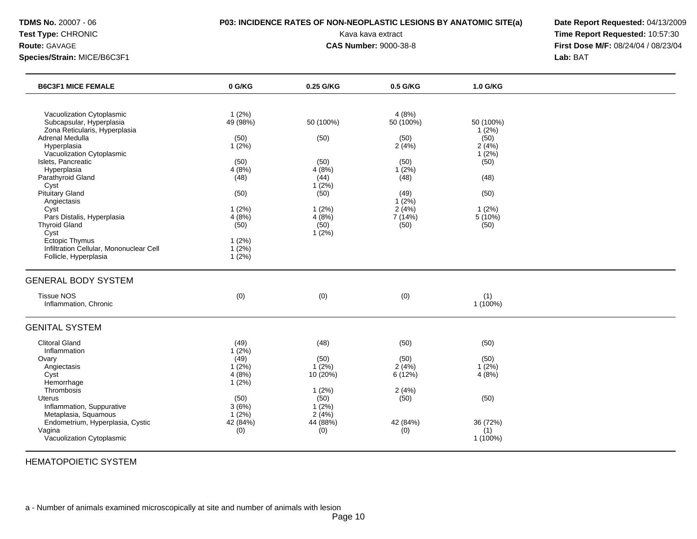## **TDMS No.** 20007 - 06 **P03: INCIDENCE RATES OF NON-NEOPLASTIC LESIONS BY ANATOMIC SITE(a) Date Report Requested:** 04/13/2009

**Test Type:** CHRONIC **Transfer CHRONIC Report Requested:** 10:57:30 **Route:** GAVAGE **CAS Number:** 9000-38-8 **First Dose M/F:** 08/24/04 / 08/23/04

| <b>B6C3F1 MICE FEMALE</b>                                                                                                                                                                                                                                                                                                                                                                                             | 0 G/KG                                                                                                                            | 0.25 G/KG                                                                                         | 0.5 G/KG                                                                                                  | 1.0 G/KG                                                                                                 |  |
|-----------------------------------------------------------------------------------------------------------------------------------------------------------------------------------------------------------------------------------------------------------------------------------------------------------------------------------------------------------------------------------------------------------------------|-----------------------------------------------------------------------------------------------------------------------------------|---------------------------------------------------------------------------------------------------|-----------------------------------------------------------------------------------------------------------|----------------------------------------------------------------------------------------------------------|--|
| Vacuolization Cytoplasmic<br>Subcapsular, Hyperplasia<br>Zona Reticularis, Hyperplasia<br>Adrenal Medulla<br>Hyperplasia<br>Vacuolization Cytoplasmic<br>Islets, Pancreatic<br>Hyperplasia<br>Parathyroid Gland<br>Cyst<br>Pituitary Gland<br>Angiectasis<br>Cyst<br>Pars Distalis, Hyperplasia<br><b>Thyroid Gland</b><br>Cyst<br>Ectopic Thymus<br>Infiltration Cellular, Mononuclear Cell<br>Follicle, Hyperplasia | 1(2%)<br>49 (98%)<br>(50)<br>$1(2\%)$<br>(50)<br>4(8%)<br>(48)<br>(50)<br>1(2%)<br>4(8%)<br>(50)<br>1(2%)<br>$1(2\%)$<br>$1(2\%)$ | 50 (100%)<br>(50)<br>(50)<br>4(8%)<br>(44)<br>1(2%)<br>(50)<br>1(2%)<br>4(8%)<br>(50)<br>$1(2\%)$ | 4(8%)<br>50 (100%)<br>(50)<br>2(4%)<br>(50)<br>1(2%)<br>(48)<br>(49)<br>1(2%)<br>2(4%)<br>7 (14%)<br>(50) | 50 (100%)<br>$1(2\%)$<br>(50)<br>2(4%)<br>$1(2\%)$<br>(50)<br>(48)<br>(50)<br>$1(2\%)$<br>5(10%)<br>(50) |  |
| <b>GENERAL BODY SYSTEM</b><br><b>Tissue NOS</b><br>Inflammation, Chronic                                                                                                                                                                                                                                                                                                                                              | (0)                                                                                                                               | (0)                                                                                               | (0)                                                                                                       | (1)<br>$1(100\%)$                                                                                        |  |
| <b>GENITAL SYSTEM</b>                                                                                                                                                                                                                                                                                                                                                                                                 |                                                                                                                                   |                                                                                                   |                                                                                                           |                                                                                                          |  |
| <b>Clitoral Gland</b><br>Inflammation<br>Ovary<br>Angiectasis<br>Cyst<br>Hemorrhage<br>Thrombosis<br><b>Uterus</b><br>Inflammation, Suppurative<br>Metaplasia, Squamous<br>Endometrium, Hyperplasia, Cystic<br>Vagina<br>Vacuolization Cytoplasmic                                                                                                                                                                    | (49)<br>$1(2\%)$<br>(49)<br>$1(2\%)$<br>4(8%)<br>$1(2\%)$<br>(50)<br>3(6%)<br>$1(2\%)$<br>42 (84%)<br>(0)                         | (48)<br>(50)<br>$1(2\%)$<br>10(20%)<br>1(2%)<br>(50)<br>$1(2\%)$<br>2(4%)<br>44 (88%)<br>(0)      | (50)<br>(50)<br>2(4%)<br>6(12%)<br>2(4%)<br>(50)<br>42 (84%)<br>(0)                                       | (50)<br>(50)<br>$1(2\%)$<br>4(8%)<br>(50)<br>36 (72%)<br>(1)<br>1 (100%)                                 |  |

HEMATOPOIETIC SYSTEM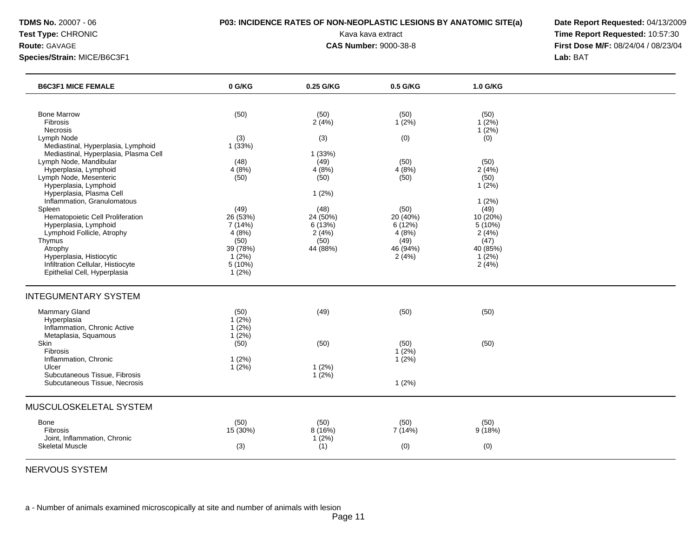## **TDMS No.** 20007 - 06 **P03: INCIDENCE RATES OF NON-NEOPLASTIC LESIONS BY ANATOMIC SITE(a) Date Report Requested:** 04/13/2009

**Test Type:** CHRONIC **Transfer CHRONIC Report Requested:** 10:57:30 **Route:** GAVAGE **CAS Number:** 9000-38-8 **First Dose M/F:** 08/24/04 / 08/23/04

| <b>B6C3F1 MICE FEMALE</b>                                                                                                                                                                                                                                                 | 0 G/KG                                                                                  | 0.25 G/KG                                                        | 0.5 G/KG                                                         | 1.0 G/KG                                                                           |  |
|---------------------------------------------------------------------------------------------------------------------------------------------------------------------------------------------------------------------------------------------------------------------------|-----------------------------------------------------------------------------------------|------------------------------------------------------------------|------------------------------------------------------------------|------------------------------------------------------------------------------------|--|
| <b>Bone Marrow</b><br>Fibrosis<br>Necrosis<br>Lymph Node<br>Mediastinal, Hyperplasia, Lymphoid<br>Mediastinal, Hyperplasia, Plasma Cell<br>Lymph Node, Mandibular<br>Hyperplasia, Lymphoid<br>Lymph Node, Mesenteric<br>Hyperplasia, Lymphoid<br>Hyperplasia, Plasma Cell | (50)<br>(3)<br>1(33%)<br>(48)<br>4(8%)<br>(50)                                          | (50)<br>2(4%)<br>(3)<br>1(33%)<br>(49)<br>4(8%)<br>(50)<br>1(2%) | (50)<br>1(2%)<br>(0)<br>(50)<br>4(8%)<br>(50)                    | (50)<br>$1(2\%)$<br>$1(2\%)$<br>(0)<br>(50)<br>2(4%)<br>(50)<br>$1(2\%)$           |  |
| Inflammation, Granulomatous<br>Spleen<br>Hematopoietic Cell Proliferation<br>Hyperplasia, Lymphoid<br>Lymphoid Follicle, Atrophy<br>Thymus<br>Atrophy<br>Hyperplasia, Histiocytic<br>Infiltration Cellular, Histiocyte<br>Epithelial Cell, Hyperplasia                    | (49)<br>26 (53%)<br>7 (14%)<br>4(8%)<br>(50)<br>39 (78%)<br>$1(2\%)$<br>5(10%)<br>1(2%) | (48)<br>24 (50%)<br>6(13%)<br>2(4%)<br>(50)<br>44 (88%)          | (50)<br>20 (40%)<br>6(12%)<br>4(8%)<br>(49)<br>46 (94%)<br>2(4%) | 1(2%)<br>(49)<br>10 (20%)<br>5(10%)<br>2(4%)<br>(47)<br>40 (85%)<br>1(2%)<br>2(4%) |  |
| <b>INTEGUMENTARY SYSTEM</b>                                                                                                                                                                                                                                               |                                                                                         |                                                                  |                                                                  |                                                                                    |  |
| <b>Mammary Gland</b><br>Hyperplasia<br>Inflammation, Chronic Active<br>Metaplasia, Squamous                                                                                                                                                                               | (50)<br>$1(2\%)$<br>1(2%)<br>1(2%)                                                      | (49)                                                             | (50)                                                             | (50)                                                                               |  |
| Skin<br><b>Fibrosis</b><br>Inflammation, Chronic<br>Ulcer<br>Subcutaneous Tissue, Fibrosis<br>Subcutaneous Tissue, Necrosis                                                                                                                                               | (50)<br>1(2%)<br>1(2%)                                                                  | (50)<br>1(2%)<br>1(2%)                                           | (50)<br>1(2%)<br>1(2%)<br>1(2%)                                  | (50)                                                                               |  |
| MUSCULOSKELETAL SYSTEM                                                                                                                                                                                                                                                    |                                                                                         |                                                                  |                                                                  |                                                                                    |  |
| Bone<br>Fibrosis<br>Joint, Inflammation, Chronic<br><b>Skeletal Muscle</b>                                                                                                                                                                                                | (50)<br>15 (30%)<br>(3)                                                                 | (50)<br>8(16%)<br>1(2%)<br>(1)                                   | (50)<br>7 (14%)<br>(0)                                           | (50)<br>9(18%)<br>(0)                                                              |  |

NERVOUS SYSTEM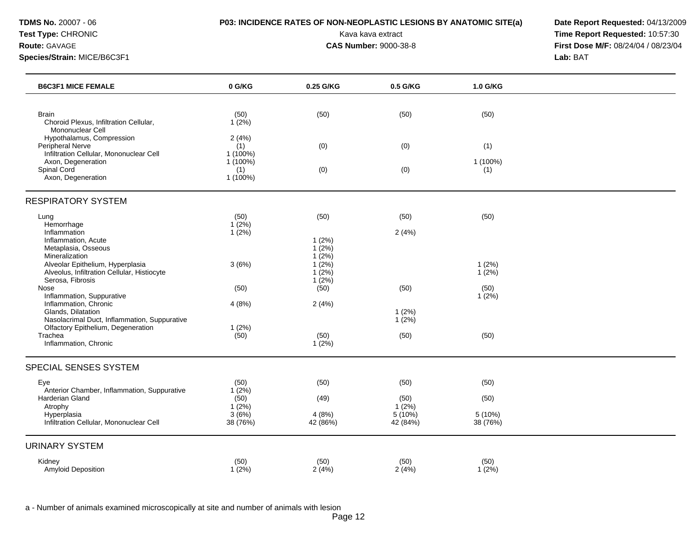## **TDMS No.** 20007 - 06 **P03: INCIDENCE RATES OF NON-NEOPLASTIC LESIONS BY ANATOMIC SITE(a) Date Report Requested:** 04/13/2009

**Test Type:** CHRONIC **Transfer CHRONIC Report Requested:** 10:57:30 **Route:** GAVAGE **CAS Number:** 9000-38-8 **First Dose M/F:** 08/24/04 / 08/23/04

| <b>B6C3F1 MICE FEMALE</b>                                                                           | 0 G/KG                        | 0.25 G/KG                     | 0.5 G/KG              | 1.0 G/KG            |  |
|-----------------------------------------------------------------------------------------------------|-------------------------------|-------------------------------|-----------------------|---------------------|--|
|                                                                                                     |                               |                               |                       |                     |  |
| <b>Brain</b><br>Choroid Plexus, Infiltration Cellular,<br>Mononuclear Cell                          | (50)<br>1(2%)                 | (50)                          | (50)                  | (50)                |  |
| Hypothalamus, Compression<br>Peripheral Nerve                                                       | 2(4%)<br>(1)                  | (0)                           | (0)                   | (1)                 |  |
| Infiltration Cellular, Mononuclear Cell<br>Axon, Degeneration<br>Spinal Cord                        | 1 (100%)<br>$1(100\%)$<br>(1) | (0)                           | (0)                   | 1 (100%)<br>(1)     |  |
| Axon, Degeneration                                                                                  | $1(100\%)$                    |                               |                       |                     |  |
| <b>RESPIRATORY SYSTEM</b>                                                                           |                               |                               |                       |                     |  |
| Lung<br>Hemorrhage                                                                                  | (50)<br>$1(2\%)$              | (50)                          | (50)                  | (50)                |  |
| Inflammation<br>Inflammation, Acute                                                                 | 1(2%)                         | 1(2%)                         | 2(4%)                 |                     |  |
| Metaplasia, Osseous<br>Mineralization                                                               |                               | 1(2%)<br>$1(2\%)$<br>$1(2\%)$ |                       | 1(2%)               |  |
| Alveolar Epithelium, Hyperplasia<br>Alveolus, Infiltration Cellular, Histiocyte<br>Serosa, Fibrosis | 3(6%)                         | $1(2\%)$<br>$1(2\%)$          |                       | 1(2%)               |  |
| Nose<br>Inflammation, Suppurative                                                                   | (50)                          | (50)                          | (50)                  | (50)<br>$1(2\%)$    |  |
| Inflammation, Chronic<br>Glands, Dilatation<br>Nasolacrimal Duct, Inflammation, Suppurative         | 4(8%)                         | 2(4%)                         | 1(2%)<br>1(2%)        |                     |  |
| Olfactory Epithelium, Degeneration<br>Trachea                                                       | 1(2%)<br>(50)                 | (50)                          | (50)                  | (50)                |  |
| Inflammation, Chronic                                                                               |                               | $1(2\%)$                      |                       |                     |  |
| SPECIAL SENSES SYSTEM                                                                               |                               |                               |                       |                     |  |
| Eye<br>Anterior Chamber, Inflammation, Suppurative                                                  | (50)<br>$1(2\%)$              | (50)                          | (50)                  | (50)                |  |
| Harderian Gland<br>Atrophy                                                                          | (50)<br>$1(2\%)$              | (49)                          | (50)<br>$1(2\%)$      | (50)                |  |
| Hyperplasia<br>Infiltration Cellular, Mononuclear Cell                                              | 3(6%)<br>38 (76%)             | 4(8%)<br>42 (86%)             | $5(10\%)$<br>42 (84%) | 5 (10%)<br>38 (76%) |  |
| <b>URINARY SYSTEM</b>                                                                               |                               |                               |                       |                     |  |
| Kidney<br>Amyloid Deposition                                                                        | (50)<br>$1(2\%)$              | (50)<br>2(4%)                 | (50)<br>2(4%)         | (50)<br>$1(2\%)$    |  |